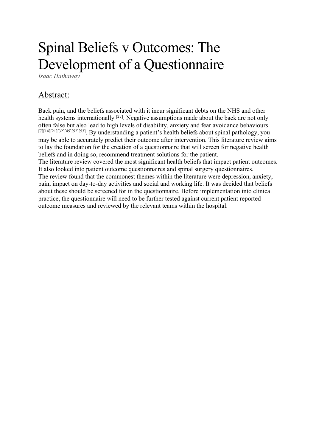# Spinal Beliefs v Outcomes: The Development of a Questionnaire

*Isaac Hathaway* 

## Abstract:

Back pain, and the beliefs associated with it incur significant debts on the NHS and other health systems internationally <sup>[27]</sup>. Negative assumptions made about the back are not only often false but also lead to high levels of disability, anxiety and fear avoidance behaviours [7][14][21][32][45][52][53]. By understanding a patient's health beliefs about spinal pathology, you may be able to accurately predict their outcome after intervention. This literature review aims to lay the foundation for the creation of a questionnaire that will screen for negative health beliefs and in doing so, recommend treatment solutions for the patient.

The literature review covered the most significant health beliefs that impact patient outcomes. It also looked into patient outcome questionnaires and spinal surgery questionnaires. The review found that the commonest themes within the literature were depression, anxiety, pain, impact on day-to-day activities and social and working life. It was decided that beliefs about these should be screened for in the questionnaire. Before implementation into clinical practice, the questionnaire will need to be further tested against current patient reported outcome measures and reviewed by the relevant teams within the hospital.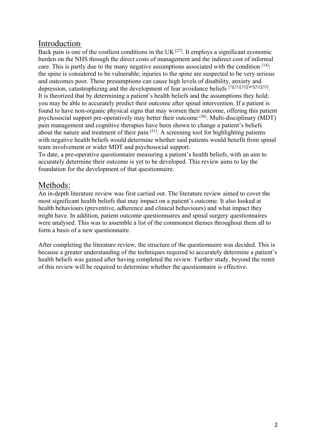## Introduction:

Back pain is one of the costliest conditions in the UK  $[27]$ . It employs a significant economic burden on the NHS through the direct costs of management and the indirect cost of informal care. This is partly due to the many negative assumptions associated with the condition  $[14]$ : the spine is considered to be vulnerable; injuries to the spine are suspected to be very serious and outcomes poor. These presumptions can cause high levels of disability, anxiety and depression, catastrophizing and the development of fear avoidance beliefs [7][21][32][45][52][53] . It is theorized that by determining a patient's health beliefs and the assumptions they hold; you may be able to accurately predict their outcome after spinal intervention. If a patient is found to have non-organic physical signs that may worsen their outcome, offering this patient psychosocial support pre-operatively may better their outcome <sup>(50)</sup>. Multi-disciplinary (MDT) pain management and cognitive therapies have been shown to change a patient's beliefs about the nature and treatment of their pain  $[51]$ . A screening tool for highlighting patients with negative health beliefs would determine whether said patients would benefit from spinal team involvement or wider MDT and psychosocial support.

To date, a pre-operative questionnaire measuring a patient's health beliefs, with an aim to accurately determine their outcome is yet to be developed. This review aims to lay the foundation for the development of that questionnaire.

## Methods:

An in-depth literature review was first carried out. The literature review aimed to cover the most significant health beliefs that may impact on a patient's outcome. It also looked at health behaviours (preventive, adherence and clinical behaviours) and what impact they might have. In addition, patient outcome questionnaires and spinal surgery questionnaires were analysed. This was to assemble a list of the commonest themes throughout them all to form a basis of a new questionnaire.

After completing the literature review, the structure of the questionnaire was decided. This is because a greater understanding of the techniques required to accurately determine a patient's health beliefs was gained after having completed the review. Further study, beyond the remit of this review will be required to determine whether the questionnaire is effective.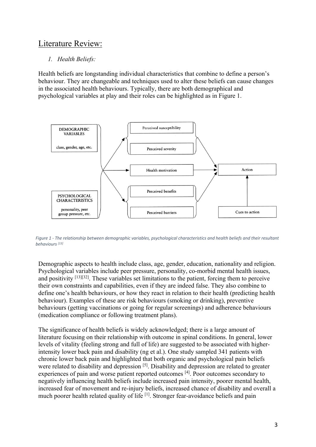## Literature Review:

#### *1. Health Beliefs:*

Health beliefs are longstanding individual characteristics that combine to define a person's behaviour. They are changeable and techniques used to alter these beliefs can cause changes in the associated health behaviours. Typically, there are both demographical and psychological variables at play and their roles can be highlighted as in Figure 1.



*Figure 1 - The relationship between demographic variables, psychological characteristics and health beliefs and their resultant behaviours [13]*

Demographic aspects to health include class, age, gender, education, nationality and religion. Psychological variables include peer pressure, personality, co-morbid mental health issues, and positivity [13][32]. These variables set limitations to the patient, forcing them to perceive their own constraints and capabilities, even if they are indeed false. They also combine to define one's health behaviours, or how they react in relation to their health (predicting health behaviour). Examples of these are risk behaviours (smoking or drinking), preventive behaviours (getting vaccinations or going for regular screenings) and adherence behaviours (medication compliance or following treatment plans).

The significance of health beliefs is widely acknowledged; there is a large amount of literature focusing on their relationship with outcome in spinal conditions. In general, lower levels of vitality (feeling strong and full of life) are suggested to be associated with higherintensity lower back pain and disability (ng et al.). One study sampled 341 patients with chronic lower back pain and highlighted that both organic and psychological pain beliefs were related to disability and depression [5]. Disability and depression are related to greater experiences of pain and worse patient reported outcomes [4]. Poor outcomes secondary to negatively influencing health beliefs include increased pain intensity, poorer mental health, increased fear of movement and re-injury beliefs, increased chance of disability and overall a much poorer health related quality of life <sup>[1]</sup>. Stronger fear-avoidance beliefs and pain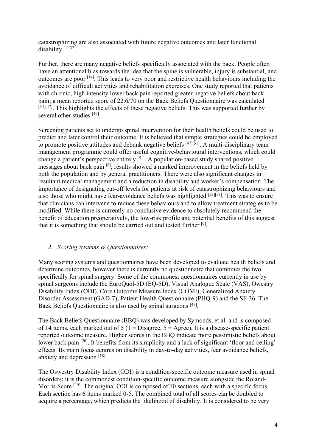catastrophizing are also associated with future negative outcomes and later functional disability [1][32].

Further, there are many negative beliefs specifically associated with the back. People often have an attentional bias towards the idea that the spine is vulnerable, injury is substantial, and outcomes are poor [14]. This leads to very poor and restrictive health behaviours including the avoidance of difficult activities and rehabilitation exercises. One study reported that patients with chronic, high intensity lower back pain reported greater negative beliefs about back pain; a mean reported score of 22.6/70 on the Back Beliefs Questionnaire was calculated  $[34][47]$ . This highlights the effects of these negative beliefs. This was supported further by several other studies [49].

Screening patients set to undergo spinal intervention for their health beliefs could be used to predict and later control their outcome. It is believed that simple strategies could be employed to promote positive attitudes and debunk negative beliefs  $[47][51]$ . A multi-disciplinary team management programme could offer useful cognitive-behavioural interventions, which could change a patient's perspective entirely <sup>[51]</sup>. A population-based study shared positive messages about back pain [8]; results showed a marked improvement in the beliefs held by both the population and by general practitioners. There were also significant changes in resultant medical management and a reduction in disability and worker's compensation. The importance of designating cut-off levels for patients at risk of catastrophizing behaviours and also those who might have fear-avoidance beliefs was highlighted  $[52][53]$ . This was to ensure that clinicians can intervene to reduce these behaviours and to allow treatment strategies to be modified. While there is currently no conclusive evidence to absolutely recommend the benefit of education preoperatively, the low-risk profile and potential benefits of this suggest that it is something that should be carried out and tested further [9].

#### *2. Scoring Systems & Questionnaires:*

Many scoring systems and questionnaires have been developed to evaluate health beliefs and determine outcomes, however there is currently no questionnaire that combines the two specifically for spinal surgery. Some of the commonest questionnaires currently in use by spinal surgeons include the EuroQuol-5D (EQ-5D), Visual Analogue Scale (VAS), Owestry Disability Index (ODI), Core Outcome Measure Index (COMI), Generalized Anxiety Disorder Assessment (GAD-7), Patient Health Questionnaire (PHQ-9) and the SF-36. The Back Beliefs Questionnaire is also used by spinal surgeons [47].

The Back Beliefs Questionnaire (BBQ) was developed by Symonds, et al. and is composed of 14 items, each marked out of  $5$  (1 = Disagree,  $5 =$  Agree). It is a disease-specific patient reported outcome measure. Higher scores in the BBQ indicate more pessimistic beliefs about lower back pain <sup>[20]</sup>. It benefits from its simplicity and a lack of significant 'floor and ceiling' effects. Its main focus centres on disability in day-to-day activities, fear avoidance beliefs, anxiety and depression [18].

The Oswestry Disability Index (ODI) is a condition-specific outcome measure used in spinal disorders; it is the commonest condition-specific outcome measure alongside the Roland-Morris Score <sup>[19]</sup>. The original ODI is composed of 10 sections, each with a specific focus. Each section has 6 items marked 0-5. The combined total of all scores can be doubled to acquire a percentage, which predicts the likelihood of disability. It is considered to be very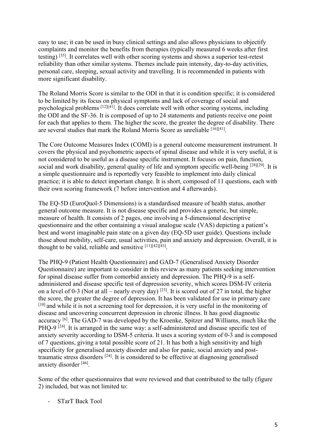easy to use; it can be used in busy clinical settings and also allows physicians to objectify complaints and monitor the benefits from therapies (typically measured 6 weeks after first testing) [35]. It correlates well with other scoring systems and shows a superior test-retest reliability than other similar systems. Themes include pain intensity, day-to-day activities, personal care, sleeping, sexual activity and travelling. It is recommended in patients with more significant disability.

The Roland Morris Score is similar to the ODI in that it is condition specific; it is considered to be limited by its focus on physical symptoms and lack of coverage of social and psychological problems [12][41]. It does correlate well with other scoring systems, including the ODI and the SF-36. It is composed of up to 24 statements and patients receive one point for each that applies to them. The higher the score, the greater the degree of disability. There are several studies that mark the Roland Morris Score as unreliable [16][41].

The Core Outcome Measures Index (COMI) is a general outcome measurement instrument. It covers the physical and psychometric aspects of spinal disease and while it is very useful, it is not considered to be useful as a disease specific instrument. It focuses on pain, function, social and work disability, general quality of life and symptom specific well-being [28][29]. It is a simple questionnaire and is reportedly very feasible to implement into daily clinical practice; it is able to detect important change. It is short, composed of 11 questions, each with their own scoring framework (7 before intervention and 4 afterwards).

The EQ-5D (EuroQuol-5 Dimensions) is a standardised measure of health status, another general outcome measure. It is not disease specific and provides a generic, but simple, measure of health. It consists of 2 pages, one involving a 5-dimensional descriptive questionnaire and the other containing a visual analogue scale (VAS) depicting a patient's best and worst imaginable pain state on a given day (EQ-5D user guide). Questions include those about mobility, self-care, usual activities, pain and anxiety and depression. Overall, it is thought to be valid, reliable and sensitive  $[11][42][43]$ .

The PHQ-9 (Patient Health Questionnaire) and GAD-7 (Generalised Anxiety Disorder Questionnaire) are important to consider in this review as many patients seeking intervention for spinal disease suffer from comorbid anxiety and depression. The PHQ-9 is a selfadministered and disease specific test of depression severity, which scores DSM-IV criteria on a level of 0-3 (Not at all – nearly every day)  $[23]$ . It is scored out of 27 in total, the higher the score, the greater the degree of depression. It has been validated for use in primary care [10] and while it is not a screening tool for depression, it is very useful in the monitoring of disease and uncovering concurrent depression in chronic illness. It has good diagnostic accuracy [6]. The GAD-7 was developed by the Kroenke, Spitzer and Williams, much like the PHQ-9<sup>[24]</sup>. It is arranged in the same way: a self-administered and disease specific test of anxiety severity according to DSM-5 criteria. It uses a scoring system of 0-3 and is composed of 7 questions, giving a total possible score of 21. It has both a high sensitivity and high specificity for generalised anxiety disorder and also for panic, social anxiety and posttraumatic stress disorders  $[24]$ . It is considered to be effective at diagnosing generalised anxiety disorder [46].

Some of the other questionnaires that were reviewed and that contributed to the tally (figure 2) included, but was not limited to:

- STarT Back Tool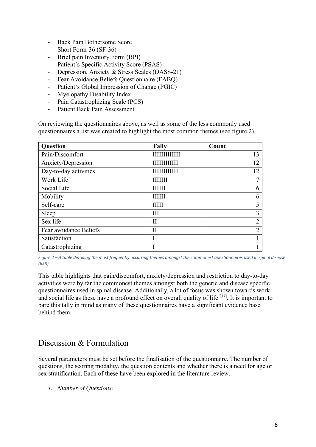- Back Pain Bothersome Score
- Short Form-36 (SF-36)
- Brief pain Inventory Form (BPI)
- Patient's Specific Activity Score (PSAS)
- Depression, Anxiety & Stress Scales (DASS-21)
- Fear Avoidance Beliefs Questionnaire (FABQ)
- Patient's Global Impression of Change (PGIC)
- Myelopathy Disability Index
- Pain Catastrophizing Scale (PCS)
- Patient Back Pain Assessment

On reviewing the questionnaires above, as well as some of the less commonly used questionnaires a list was created to highlight the most common themes (see figure 2).

| Question               | <b>Tally</b>         | Count          |
|------------------------|----------------------|----------------|
| Pain/Discomfort        | <b>HIIIIIIIIIII</b>  | 13             |
| Anxiety/Depression     | <b>HIIIIIIIIIIII</b> | 12             |
| Day-to-day activities  | <b>HIIIIIIIIII</b>   | 12             |
| Work Life              | <b>HHHH</b>          |                |
| Social Life            | ШШ                   | 6              |
| Mobility               | <b>IIIIII</b>        | 6              |
| Self-care              | IIIII                |                |
| Sleep                  | Ш                    | 3              |
| Sex life               | H                    | $\overline{2}$ |
| Fear avoidance Beliefs | $\prod$              | $\overline{2}$ |
| Satisfaction           |                      |                |
| Catastrophizing        |                      |                |

*Figure 2 – A table detailing the most frequently occurring themes amongst the commonest questionnaires used in spinal disease (BSR)*

This table highlights that pain/discomfort, anxiety/depression and restriction to day-to-day activities were by far the commonest themes amongst both the generic and disease specific questionnaires used in spinal disease. Additionally, a lot of focus was shown towards work and social life as these have a profound effect on overall quality of life [37]. It is important to bare this tally in mind as many of these questionnaires have a significant evidence base behind them.

### Discussion & Formulation

Several parameters must be set before the finalisation of the questionnaire. The number of questions, the scoring modality, the question contents and whether there is a need for age or sex stratification. Each of these have been explored in the literature review.

*1. Number of Questions:*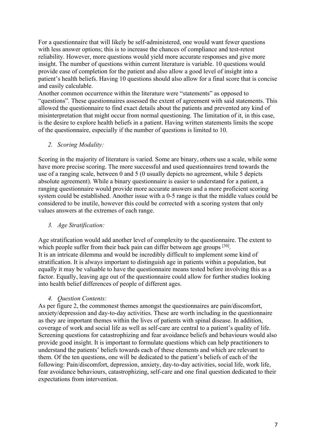For a questionnaire that will likely be self-administered, one would want fewer questions with less answer options; this is to increase the chances of compliance and test-retest reliability. However, more questions would yield more accurate responses and give more insight. The number of questions within current literature is variable. 10 questions would provide ease of completion for the patient and also allow a good level of insight into a patient's health beliefs. Having 10 questions should also allow for a final score that is concise and easily calculable.

Another common occurrence within the literature were "statements" as opposed to "questions". These questionnaires assessed the extent of agreement with said statements. This allowed the questionnaire to find exact details about the patients and prevented any kind of misinterpretation that might occur from normal questioning. The limitation of it, in this case, is the desire to explore health beliefs in a patient. Having written statements limits the scope of the questionnaire, especially if the number of questions is limited to 10.

#### *2. Scoring Modality:*

Scoring in the majority of literature is varied. Some are binary, others use a scale, while some have more precise scoring. The more successful and used questionnaires trend towards the use of a ranging scale, between 0 and 5 (0 usually depicts no agreement, while 5 depicts absolute agreement). While a binary questionnaire is easier to understand for a patient, a ranging questionnaire would provide more accurate answers and a more proficient scoring system could be established. Another issue with a 0-5 range is that the middle values could be considered to be inutile, however this could be corrected with a scoring system that only values answers at the extremes of each range.

#### *3. Age Stratification:*

Age stratification would add another level of complexity to the questionnaire. The extent to which people suffer from their back pain can differ between age groups [30]. It is an intricate dilemma and would be incredibly difficult to implement some kind of stratification. It is always important to distinguish age in patients within a population, but equally it may be valuable to have the questionnaire means tested before involving this as a factor. Equally, leaving age out of the questionnaire could allow for further studies looking into health belief differences of people of different ages.

#### *4. Question Contents:*

As per figure 2, the commonest themes amongst the questionnaires are pain/discomfort, anxiety/depression and day-to-day activities. These are worth including in the questionnaire as they are important themes within the lives of patients with spinal disease. In addition, coverage of work and social life as well as self-care are central to a patient's quality of life. Screening questions for catastrophizing and fear avoidance beliefs and behaviours would also provide good insight. It is important to formulate questions which can help practitioners to understand the patients' beliefs towards each of these elements and which are relevant to them. Of the ten questions, one will be dedicated to the patient's beliefs of each of the following: Pain/discomfort, depression, anxiety, day-to-day activities, social life, work life, fear avoidance behaviours, catastrophizing, self-care and one final question dedicated to their expectations from intervention.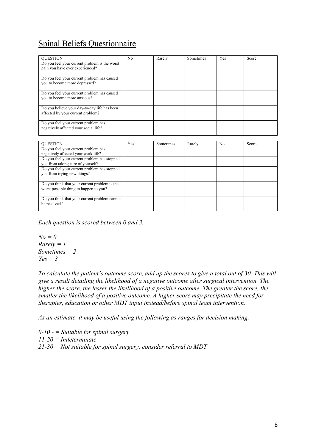# Spinal Beliefs Questionnaire

| <b>OUESTION</b>                                                                         | N <sub>0</sub> | Rarely    | Sometimes | Yes            | Score |
|-----------------------------------------------------------------------------------------|----------------|-----------|-----------|----------------|-------|
| Do you feel your current problem is the worst<br>pain you have ever experienced?        |                |           |           |                |       |
| Do you feel your current problem has caused<br>you to become more depressed?            |                |           |           |                |       |
| Do you feel your current problem has caused<br>you to become more anxious?              |                |           |           |                |       |
| Do you believe your day-to-day life has been<br>affected by your current problem?       |                |           |           |                |       |
| Do you feel your current problem has<br>negatively affected your social life?           |                |           |           |                |       |
|                                                                                         |                |           |           |                |       |
| <b>OUESTION</b>                                                                         | Yes            | Sometimes | Rarely    | N <sub>0</sub> | Score |
| Do you feel your current problem has<br>negatively affected your work life?             |                |           |           |                |       |
| Do you feel your current problem has stopped<br>you from taking care of yourself?       |                |           |           |                |       |
| Do you feel your current problem has stopped<br>you from trying new things?             |                |           |           |                |       |
| Do you think that your current problem is the<br>worst possible thing to happen to you? |                |           |           |                |       |
| Do you think that your current problem cannot<br>be resolved?                           |                |           |           |                |       |

*Each question is scored between 0 and 3.*

```
N<sub>O</sub> = 0Rarely = 1
Sometimes = 2
Yes = 3
```
*To calculate the patient's outcome score, add up the scores to give a total out of 30. This will give a result detailing the likelihood of a negative outcome after surgical intervention. The higher the score, the lesser the likelihood of a positive outcome. The greater the score, the smaller the likelihood of a positive outcome. A higher score may precipitate the need for therapies, education or other MDT input instead/before spinal team intervention.* 

*As an estimate, it may be useful using the following as ranges for decision making:*

*0-10 - = Suitable for spinal surgery 11-20 = Indeterminate 21-30 = Not suitable for spinal surgery, consider referral to MDT*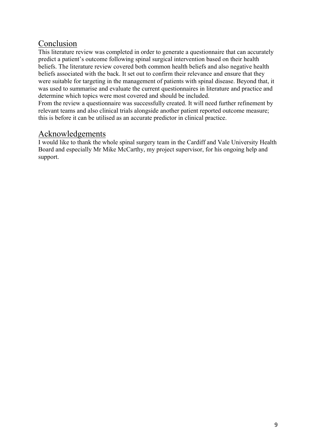## Conclusion

This literature review was completed in order to generate a questionnaire that can accurately predict a patient's outcome following spinal surgical intervention based on their health beliefs. The literature review covered both common health beliefs and also negative health beliefs associated with the back. It set out to confirm their relevance and ensure that they were suitable for targeting in the management of patients with spinal disease. Beyond that, it was used to summarise and evaluate the current questionnaires in literature and practice and determine which topics were most covered and should be included.

From the review a questionnaire was successfully created. It will need further refinement by relevant teams and also clinical trials alongside another patient reported outcome measure; this is before it can be utilised as an accurate predictor in clinical practice.

## Acknowledgements

I would like to thank the whole spinal surgery team in the Cardiff and Vale University Health Board and especially Mr Mike McCarthy, my project supervisor, for his ongoing help and support.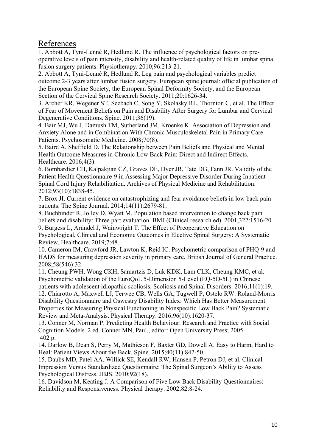## References

1. Abbott A, Tyni-Lenné R, Hedlund R. The influence of psychological factors on preoperative levels of pain intensity, disability and health-related quality of life in lumbar spinal fusion surgery patients. Physiotherapy. 2010;96:213-21.

2. Abbott A, Tyni-Lenné R, Hedlund R. Leg pain and psychological variables predict outcome 2-3 years after lumbar fusion surgery. European spine journal: official publication of the European Spine Society, the European Spinal Deformity Society, and the European Section of the Cervical Spine Research Society. 2011;20:1626-34.

3. Archer KR, Wegener ST, Seebach C, Song Y, Skolasky RL, Thornton C, et al. The Effect of Fear of Movement Beliefs on Pain and Disability After Surgery for Lumbar and Cervical Degenerative Conditions. Spine. 2011;36(19).

4. Bair MJ, Wu J, Damush TM, Sutherland JM, Kroenke K. Association of Depression and Anxiety Alone and in Combination With Chronic Musculoskeletal Pain in Primary Care Patients. Psychosomatic Medicine. 2008;70(8).

5. Baird A, Sheffield D. The Relationship between Pain Beliefs and Physical and Mental Health Outcome Measures in Chronic Low Back Pain: Direct and Indirect Effects. Healthcare. 2016;4(3).

6. Bombardier CH, Kalpakjian CZ, Graves DE, Dyer JR, Tate DG, Fann JR. Validity of the Patient Health Questionnaire-9 in Assessing Major Depressive Disorder During Inpatient Spinal Cord Injury Rehabilitation. Archives of Physical Medicine and Rehabilitation. 2012;93(10):1838-45.

7. Brox JI. Current evidence on catastrophizing and fear avoidance beliefs in low back pain patients. The Spine Journal. 2014;14(11):2679-81.

8. Buchbinder R, Jolley D, Wyatt M. Population based intervention to change back pain beliefs and disability: Three part evaluation. BMJ (Clinical research ed). 2001;322:1516-20.

9. Burgess L, Arundel J, Wainwright T. The Effect of Preoperative Education on Psychological, Clinical and Economic Outcomes in Elective Spinal Surgery: A Systematic Review. Healthcare. 2019;7:48.

10. Cameron IM, Crawford JR, Lawton K, Reid IC. Psychometric comparison of PHQ-9 and HADS for measuring depression severity in primary care. British Journal of General Practice. 2008;58(546):32.

11. Cheung PWH, Wong CKH, Samartzis D, Luk KDK, Lam CLK, Cheung KMC, et al. Psychometric validation of the EuroQoL 5-Dimension 5-Level (EQ-5D-5L) in Chinese patients with adolescent idiopathic scoliosis. Scoliosis and Spinal Disorders. 2016;11(1):19. 12. Chiarotto A, Maxwell LJ, Terwee CB, Wells GA, Tugwell P, Ostelo RW. Roland-Morris

Disability Questionnaire and Oswestry Disability Index: Which Has Better Measurement Properties for Measuring Physical Functioning in Nonspecific Low Back Pain? Systematic Review and Meta-Analysis. Physical Therapy. 2016;96(10):1620-37.

13. Conner M, Norman P. Predicting Health Behaviour: Research and Practice with Social Cognition Models. 2 ed. Conner MN, Paul., editor: Open University Press; 2005 402 p.

14. Darlow B, Dean S, Perry M, Mathieson F, Baxter GD, Dowell A. Easy to Harm, Hard to Heal: Patient Views About the Back. Spine. 2015;40(11):842-50.

15. Daubs MD, Patel AA, Willick SE, Kendall RW, Hansen P, Petron DJ, et al. Clinical Impression Versus Standardized Questionnaire: The Spinal Surgeon's Ability to Assess Psychological Distress. JBJS. 2010;92(18).

16. Davidson M, Keating J. A Comparison of Five Low Back Disability Questionnaires: Reliability and Responsiveness. Physical therapy. 2002;82:8-24.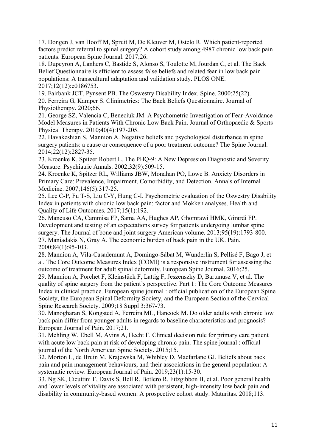17. Dongen J, van Hooff M, Spruit M, De Kleuver M, Ostelo R. Which patient-reported factors predict referral to spinal surgery? A cohort study among 4987 chronic low back pain patients. European Spine Journal. 2017;26.

18. Dupeyron A, Lanhers C, Bastide S, Alonso S, Toulotte M, Jourdan C, et al. The Back Belief Questionnaire is efficient to assess false beliefs and related fear in low back pain populations: A transcultural adaptation and validation study. PLOS ONE. 2017;12(12):e0186753.

19. Fairbank JCT, Pynsent PB. The Oswestry Disability Index. Spine. 2000;25(22). 20. Ferreira G, Kamper S. Clinimetrics: The Back Beliefs Questionnaire. Journal of Physiotherapy. 2020;66.

21. George SZ, Valencia C, Beneciuk JM. A Psychometric Investigation of Fear-Avoidance Model Measures in Patients With Chronic Low Back Pain. Journal of Orthopaedic & Sports Physical Therapy. 2010;40(4):197-205.

22. Havakeshian S, Mannion A. Negative beliefs and psychological disturbance in spine surgery patients: a cause or consequence of a poor treatment outcome? The Spine Journal. 2014;22(12):2827-35.

23. Kroenke K, Spitzer Robert L. The PHQ-9: A New Depression Diagnostic and Severity Measure. Psychiatric Annals. 2002;32(9):509-15.

24. Kroenke K, Spitzer RL, Williams JBW, Monahan PO, Löwe B. Anxiety Disorders in Primary Care: Prevalence, Impairment, Comorbidity, and Detection. Annals of Internal Medicine. 2007;146(5):317-25.

25. Lee C-P, Fu T-S, Liu C-Y, Hung C-I. Psychometric evaluation of the Oswestry Disability Index in patients with chronic low back pain: factor and Mokken analyses. Health and Quality of Life Outcomes. 2017;15(1):192.

26. Mancuso CA, Cammisa FP, Sama AA, Hughes AP, Ghomrawi HMK, Girardi FP. Development and testing of an expectations survey for patients undergoing lumbar spine surgery. The Journal of bone and joint surgery American volume. 2013;95(19):1793-800. 27. Maniadakis N, Gray A. The economic burden of back pain in the UK. Pain. 2000;84(1):95-103.

28. Mannion A, Vila-Casademunt A, Domingo-Sàbat M, Wunderlin S, Pellisé F, Bago J, et al. The Core Outcome Measures Index (COMI) is a responsive instrument for assessing the outcome of treatment for adult spinal deformity. European Spine Journal. 2016;25.

29. Mannion A, Porchet F, Kleinstück F, Lattig F, Jeszenszky D, Bartanusz V, et al. The quality of spine surgery from the patient's perspective. Part 1: The Core Outcome Measures Index in clinical practice. European spine journal : official publication of the European Spine Society, the European Spinal Deformity Society, and the European Section of the Cervical Spine Research Society. 2009;18 Suppl 3:367-73.

30. Manogharan S, Kongsted A, Ferreira ML, Hancock M. Do older adults with chronic low back pain differ from younger adults in regards to baseline characteristics and prognosis? European Journal of Pain. 2017;21.

31. Mehling W, Ebell M, Avins A, Hecht F. Clinical decision rule for primary care patient with acute low back pain at risk of developing chronic pain. The spine journal : official journal of the North American Spine Society. 2015;15.

32. Morton L, de Bruin M, Krajewska M, Whibley D, Macfarlane GJ. Beliefs about back pain and pain management behaviours, and their associations in the general population: A systematic review. European Journal of Pain. 2019;23(1):15-30.

33. Ng SK, Cicuttini F, Davis S, Bell R, Botlero R, Fitzgibbon B, et al. Poor general health and lower levels of vitality are associated with persistent, high-intensity low back pain and disability in community-based women: A prospective cohort study. Maturitas. 2018;113.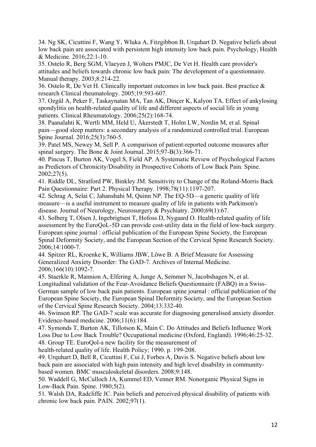34. Ng SK, Cicuttini F, Wang Y, Wluka A, Fitzgibbon B, Urquhart D. Negative beliefs about low back pain are associated with persistent high intensity low back pain. Psychology, Health & Medicine. 2016;22:1-10.

35. Ostelo R, Berg SGM, Vlaeyen J, Wolters PMJC, De Vet H. Health care provider's attitudes and beliefs towards chronic low back pain: The development of a questionnaire. Manual therapy. 2003;8:214-22.

36. Ostelo R, De Vet H. Clinically important outcomes in low back pain. Best practice & research Clinical rheumatology. 2005;19:593-607.

37. Ozgül A, Peker F, Taskaynatan MA, Tan AK, Dinçer K, Kalyon TA. Effect of ankylosing spondylitis on health-related quality of life and different aspects of social life in young patients. Clinical Rheumatology. 2006;25(2):168-74.

38. Paanalahti K, Wertli MM, Held U, Åkerstedt T, Holm LW, Nordin M, et al. Spinal pain—good sleep matters: a secondary analysis of a randomized controlled trial. European Spine Journal. 2016;25(3):760-5.

39. Patel MS, Newey M, Sell P. A comparison of patient-reported outcome measures after spinal surgery. The Bone & Joint Journal. 2015;97-B(3):366-71.

40. Pincus T, Burton AK, Vogel S, Field AP. A Systematic Review of Psychological Factors as Predictors of Chronicity/Disability in Prospective Cohorts of Low Back Pain. Spine. 2002;27(5).

41. Riddle DL, Stratford PW, Binkley JM. Sensitivity to Change of the Roland-Morris Back Pain Questionnaire: Part 2. Physical Therapy. 1998;78(11):1197-207.

42. Schrag A, Selai C, Jahanshahi M, Quinn NP. The EQ-5D—a generic quality of life measure—is a useful instrument to measure quality of life in patients with Parkinson's disease. Journal of Neurology, Neurosurgery & Psychiatry. 2000;69(1):67.

43. Solberg T, Olsen J, Ingebrigtsen T, Hofoss D, Nygaard O. Health-related quality of life assessment by the EuroQoL-5D can provide cost-utility data in the field of low-back surgery. European spine journal : official publication of the European Spine Society, the European Spinal Deformity Society, and the European Section of the Cervical Spine Research Society. 2006;14:1000-7.

44. Spitzer RL, Kroenke K, Williams JBW, Löwe B. A Brief Measure for Assessing Generalized Anxiety Disorder: The GAD-7. Archives of Internal Medicine. 2006;166(10):1092-7.

45. Staerkle R, Mannion A, Elfering A, Junge A, Semmer N, Jacobshagen N, et al. Longitudinal validation of the Fear-Avoidance Beliefs Questionnaire (FABQ) in a Swiss-German sample of low back pain patients. European spine journal : official publication of the European Spine Society, the European Spinal Deformity Society, and the European Section of the Cervical Spine Research Society. 2004;13:332-40.

46. Swinson RP. The GAD-7 scale was accurate for diagnosing generalised anxiety disorder. Evidence-based medicine. 2006;11(6):184.

47. Symonds T, Burton AK, Tillotson K, Main C. Do Attitudes and Beliefs Influence Work Loss Due to Low Back Trouble? Occupational medicine (Oxford, England). 1996;46:25-32. 48. Group TE. EuroQol-a new facility for the measurement of

health-related quality of life. Health Policy; 1990. p. 199-208.

49. Urquhart D, Bell R, Cicuttini F, Cui J, Forbes A, Davis S. Negative beliefs about low back pain are associated with high pain intensity and high level disability in communitybased women. BMC musculoskeletal disorders. 2008;9:148.

50. Waddell G, McCulloch JA, Kummel ED, Venner RM. Nonorganic Physical Signs in Low-Back Pain. Spine. 1980;5(2).

51. Walsh DA, Radcliffe JC. Pain beliefs and perceived physical disability of patients with chronic low back pain. PAIN. 2002;97(1).